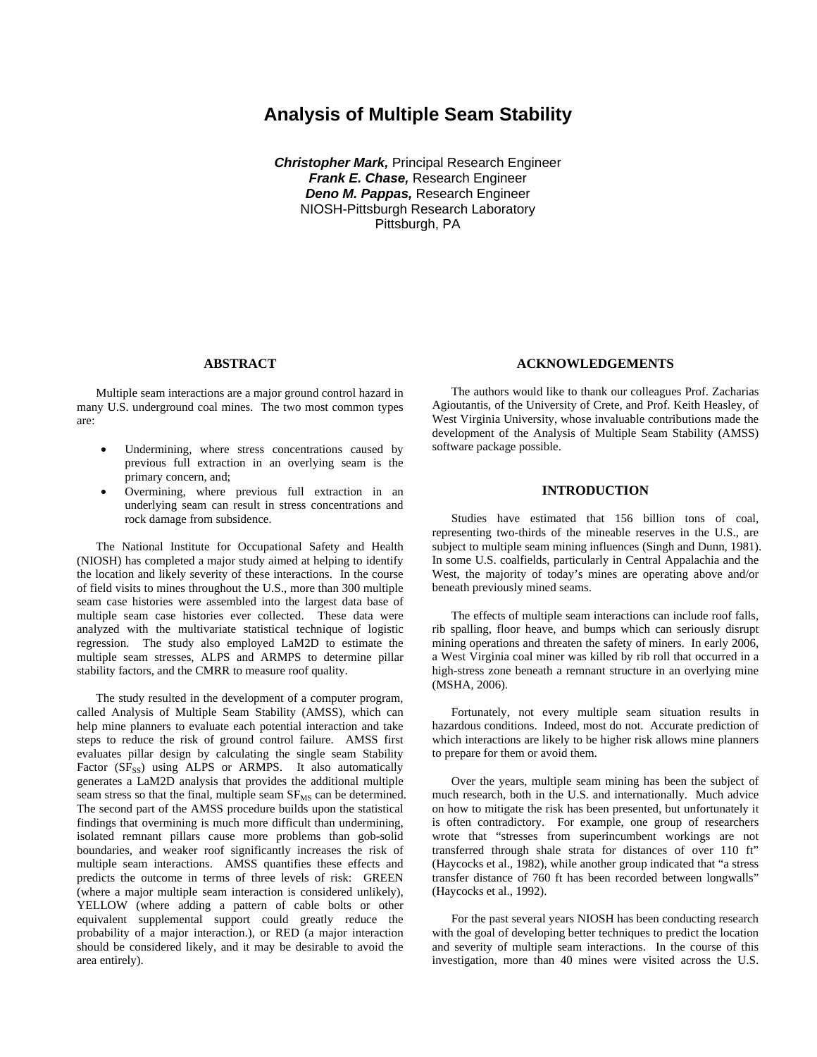# **Analysis of Multiple Seam Stability**

*Christopher Mark,* Principal Research Engineer *Frank E. Chase,* Research Engineer *Deno M. Pappas,* Research Engineer NIOSH-Pittsburgh Research Laboratory Pittsburgh, PA

#### **ABSTRACT**

 Multiple seam interactions are a major ground control hazard in many U.S. underground coal mines. The two most common types are:

- Undermining, where stress concentrations caused by previous full extraction in an overlying seam is the primary concern, and;
- Overmining, where previous full extraction in an underlying seam can result in stress concentrations and rock damage from subsidence.

 The National Institute for Occupational Safety and Health (NIOSH) has completed a major study aimed at helping to identify the location and likely severity of these interactions. In the course of field visits to mines throughout the U.S., more than 300 multiple seam case histories were assembled into the largest data base of multiple seam case histories ever collected. These data were analyzed with the multivariate statistical technique of logistic regression. The study also employed LaM2D to estimate the multiple seam stresses, ALPS and ARMPS to determine pillar stability factors, and the CMRR to measure roof quality.

 The study resulted in the development of a computer program, called Analysis of Multiple Seam Stability (AMSS), which can help mine planners to evaluate each potential interaction and take steps to reduce the risk of ground control failure. AMSS first evaluates pillar design by calculating the single seam Stability Factor (SF<sub>SS</sub>) using ALPS or ARMPS. It also automatically generates a LaM2D analysis that provides the additional multiple seam stress so that the final, multiple seam  $SF_{MS}$  can be determined. The second part of the AMSS procedure builds upon the statistical findings that overmining is much more difficult than undermining, isolated remnant pillars cause more problems than gob-solid boundaries, and weaker roof significantly increases the risk of multiple seam interactions. AMSS quantifies these effects and predicts the outcome in terms of three levels of risk: GREEN (where a major multiple seam interaction is considered unlikely), YELLOW (where adding a pattern of cable bolts or other equivalent supplemental support could greatly reduce the probability of a major interaction.), or RED (a major interaction should be considered likely, and it may be desirable to avoid the area entirely).

### **ACKNOWLEDGEMENTS**

 The authors would like to thank our colleagues Prof. Zacharias Agioutantis, of the University of Crete, and Prof. Keith Heasley, of West Virginia University, whose invaluable contributions made the development of the Analysis of Multiple Seam Stability (AMSS) software package possible.

#### **INTRODUCTION**

 Studies have estimated that 156 billion tons of coal, representing two-thirds of the mineable reserves in the U.S., are subject to multiple seam mining influences (Singh and Dunn, 1981). In some U.S. coalfields, particularly in Central Appalachia and the West, the majority of today's mines are operating above and/or beneath previously mined seams.

 The effects of multiple seam interactions can include roof falls, rib spalling, floor heave, and bumps which can seriously disrupt mining operations and threaten the safety of miners. In early 2006, a West Virginia coal miner was killed by rib roll that occurred in a high-stress zone beneath a remnant structure in an overlying mine (MSHA, 2006).

 Fortunately, not every multiple seam situation results in hazardous conditions. Indeed, most do not. Accurate prediction of which interactions are likely to be higher risk allows mine planners to prepare for them or avoid them.

 Over the years, multiple seam mining has been the subject of much research, both in the U.S. and internationally. Much advice on how to mitigate the risk has been presented, but unfortunately it is often contradictory. For example, one group of researchers wrote that "stresses from superincumbent workings are not transferred through shale strata for distances of over 110 ft" (Haycocks et al., 1982), while another group indicated that "a stress transfer distance of 760 ft has been recorded between longwalls" (Haycocks et al., 1992).

 For the past several years NIOSH has been conducting research with the goal of developing better techniques to predict the location and severity of multiple seam interactions. In the course of this investigation, more than 40 mines were visited across the U.S.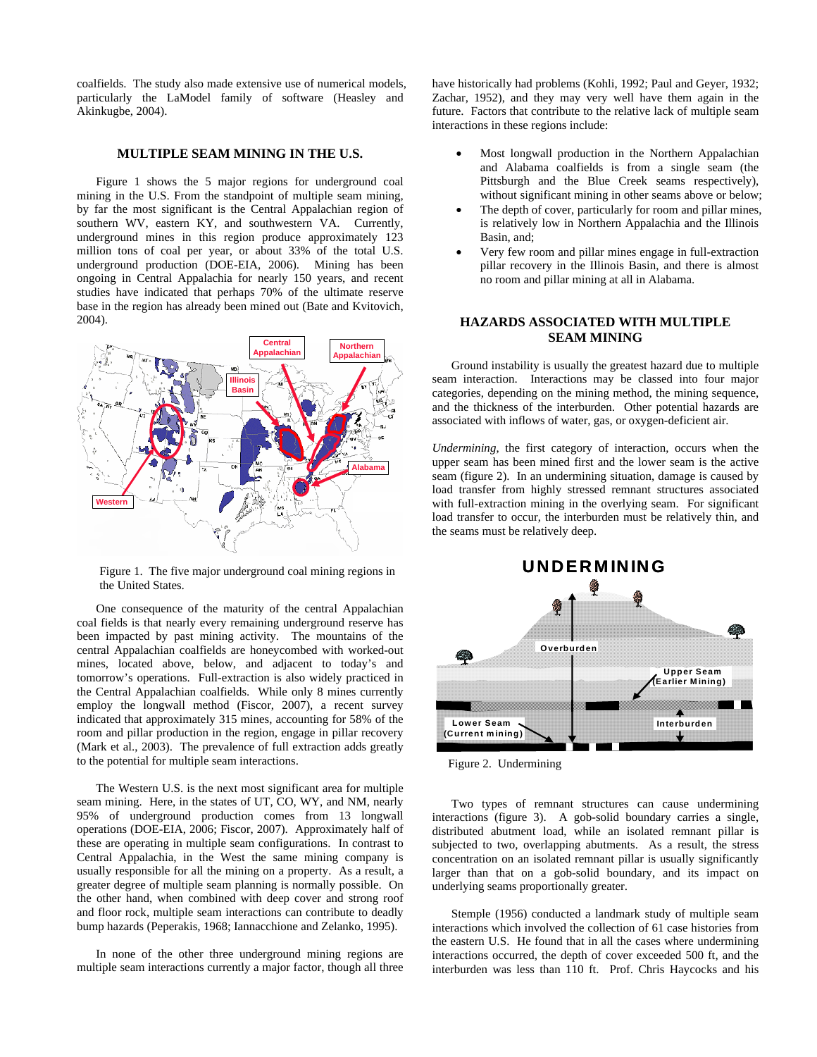coalfields. The study also made extensive use of numerical models, particularly the LaModel family of software (Heasley and Akinkugbe, 2004).

### **MULTIPLE SEAM MINING IN THE U.S.**

 Figure 1 shows the 5 major regions for underground coal mining in the U.S. From the standpoint of multiple seam mining, by far the most significant is the Central Appalachian region of southern WV, eastern KY, and southwestern VA. Currently, underground mines in this region produce approximately 123 million tons of coal per year, or about 33% of the total U.S. underground production (DOE-EIA, 2006). Mining has been ongoing in Central Appalachia for nearly 150 years, and recent studies have indicated that perhaps 70% of the ultimate reserve base in the region has already been mined out (Bate and Kvitovich, 2004).



Figure 1. The five major underground coal mining regions in the United States.

 One consequence of the maturity of the central Appalachian coal fields is that nearly every remaining underground reserve has been impacted by past mining activity. The mountains of the central Appalachian coalfields are honeycombed with worked-out mines, located above, below, and adjacent to today's and tomorrow's operations. Full-extraction is also widely practiced in the Central Appalachian coalfields. While only 8 mines currently employ the longwall method (Fiscor, 2007), a recent survey indicated that approximately 315 mines, accounting for 58% of the room and pillar production in the region, engage in pillar recovery (Mark et al., 2003). The prevalence of full extraction adds greatly to the potential for multiple seam interactions.

 The Western U.S. is the next most significant area for multiple seam mining. Here, in the states of UT, CO, WY, and NM, nearly 95% of underground production comes from 13 longwall operations (DOE-EIA, 2006; Fiscor, 2007). Approximately half of these are operating in multiple seam configurations. In contrast to Central Appalachia, in the West the same mining company is usually responsible for all the mining on a property. As a result, a greater degree of multiple seam planning is normally possible. On the other hand, when combined with deep cover and strong roof and floor rock, multiple seam interactions can contribute to deadly bump hazards (Peperakis, 1968; Iannacchione and Zelanko, 1995).

 In none of the other three underground mining regions are multiple seam interactions currently a major factor, though all three

have historically had problems (Kohli, 1992; Paul and Geyer, 1932; Zachar, 1952), and they may very well have them again in the future. Factors that contribute to the relative lack of multiple seam interactions in these regions include:

- Most longwall production in the Northern Appalachian and Alabama coalfields is from a single seam (the Pittsburgh and the Blue Creek seams respectively), without significant mining in other seams above or below;
- The depth of cover, particularly for room and pillar mines, is relatively low in Northern Appalachia and the Illinois Basin, and;
- Very few room and pillar mines engage in full-extraction pillar recovery in the Illinois Basin, and there is almost no room and pillar mining at all in Alabama.

# **HAZARDS ASSOCIATED WITH MULTIPLE SEAM MINING**

 Ground instability is usually the greatest hazard due to multiple seam interaction. Interactions may be classed into four major categories, depending on the mining method, the mining sequence, and the thickness of the interburden. Other potential hazards are associated with inflows of water, gas, or oxygen-deficient air.

*Undermining*, the first category of interaction, occurs when the upper seam has been mined first and the lower seam is the active seam (figure 2). In an undermining situation, damage is caused by load transfer from highly stressed remnant structures associated with full-extraction mining in the overlying seam. For significant load transfer to occur, the interburden must be relatively thin, and the seams must be relatively deep.



Figure 2. Undermining

 Two types of remnant structures can cause undermining interactions (figure 3). A gob-solid boundary carries a single, distributed abutment load, while an isolated remnant pillar is subjected to two, overlapping abutments. As a result, the stress concentration on an isolated remnant pillar is usually significantly larger than that on a gob-solid boundary, and its impact on underlying seams proportionally greater.

 Stemple (1956) conducted a landmark study of multiple seam interactions which involved the collection of 61 case histories from the eastern U.S. He found that in all the cases where undermining interactions occurred, the depth of cover exceeded 500 ft, and the interburden was less than 110 ft. Prof. Chris Haycocks and his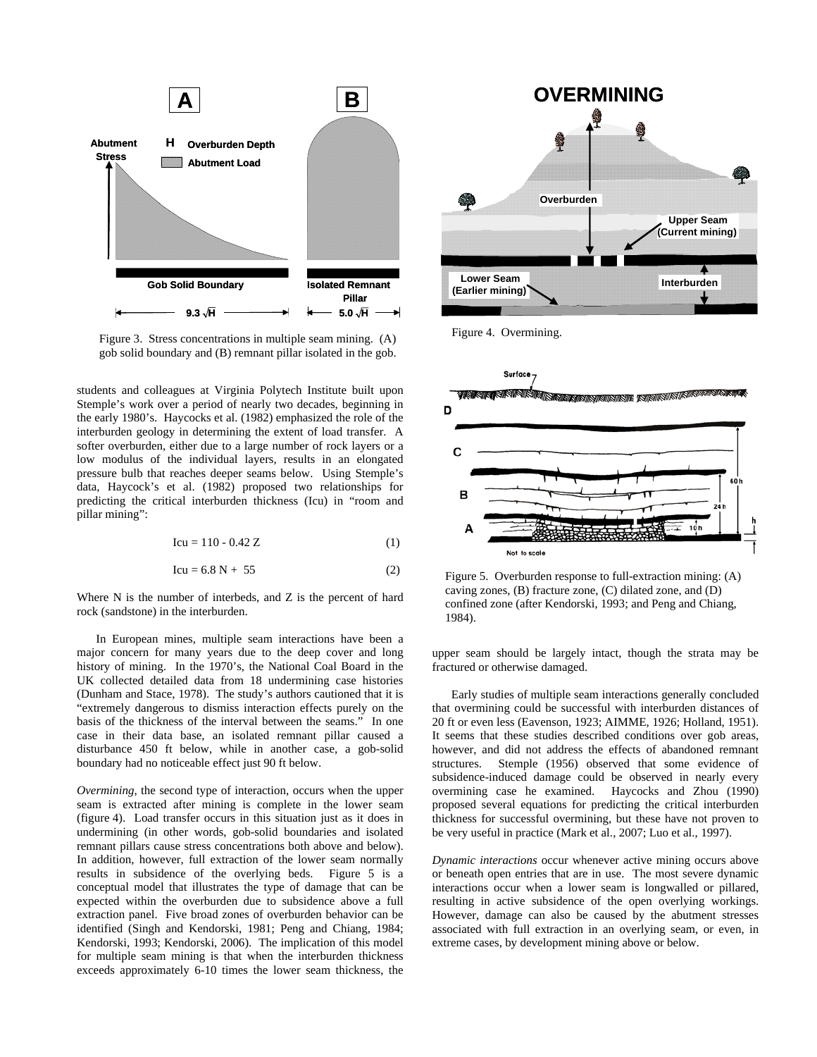

Figure 3. Stress concentrations in multiple seam mining. (A) gob solid boundary and (B) remnant pillar isolated in the gob.

students and colleagues at Virginia Polytech Institute built upon Stemple's work over a period of nearly two decades, beginning in the early 1980's. Haycocks et al. (1982) emphasized the role of the interburden geology in determining the extent of load transfer. A softer overburden, either due to a large number of rock layers or a low modulus of the individual layers, results in an elongated pressure bulb that reaches deeper seams below. Using Stemple's data, Haycock's et al. (1982) proposed two relationships for predicting the critical interburden thickness (Icu) in "room and pillar mining":

$$
Icu = 110 - 0.42 Z \tag{1}
$$

$$
Icu = 6.8 N + 55
$$
 (2)

Where N is the number of interbeds, and Z is the percent of hard rock (sandstone) in the interburden.

 In European mines, multiple seam interactions have been a major concern for many years due to the deep cover and long history of mining. In the 1970's, the National Coal Board in the UK collected detailed data from 18 undermining case histories (Dunham and Stace, 1978). The study's authors cautioned that it is "extremely dangerous to dismiss interaction effects purely on the basis of the thickness of the interval between the seams." In one case in their data base, an isolated remnant pillar caused a disturbance 450 ft below, while in another case, a gob-solid boundary had no noticeable effect just 90 ft below.

*Overmining*, the second type of interaction, occurs when the upper seam is extracted after mining is complete in the lower seam (figure 4). Load transfer occurs in this situation just as it does in undermining (in other words, gob-solid boundaries and isolated remnant pillars cause stress concentrations both above and below). In addition, however, full extraction of the lower seam normally results in subsidence of the overlying beds. Figure 5 is a conceptual model that illustrates the type of damage that can be expected within the overburden due to subsidence above a full extraction panel. Five broad zones of overburden behavior can be identified (Singh and Kendorski, 1981; Peng and Chiang, 1984; Kendorski, 1993; Kendorski, 2006). The implication of this model for multiple seam mining is that when the interburden thickness exceeds approximately 6-10 times the lower seam thickness, the



Figure 4. Overmining.



Figure 5. Overburden response to full-extraction mining: (A) caving zones, (B) fracture zone, (C) dilated zone, and (D) confined zone (after Kendorski, 1993; and Peng and Chiang, 1984).

upper seam should be largely intact, though the strata may be fractured or otherwise damaged.

 Early studies of multiple seam interactions generally concluded that overmining could be successful with interburden distances of 20 ft or even less (Eavenson, 1923; AIMME, 1926; Holland, 1951). It seems that these studies described conditions over gob areas, however, and did not address the effects of abandoned remnant structures. Stemple (1956) observed that some evidence of subsidence-induced damage could be observed in nearly every overmining case he examined. Haycocks and Zhou (1990) proposed several equations for predicting the critical interburden thickness for successful overmining, but these have not proven to be very useful in practice (Mark et al., 2007; Luo et al., 1997).

*Dynamic interactions* occur whenever active mining occurs above or beneath open entries that are in use. The most severe dynamic interactions occur when a lower seam is longwalled or pillared, resulting in active subsidence of the open overlying workings. However, damage can also be caused by the abutment stresses associated with full extraction in an overlying seam, or even, in extreme cases, by development mining above or below.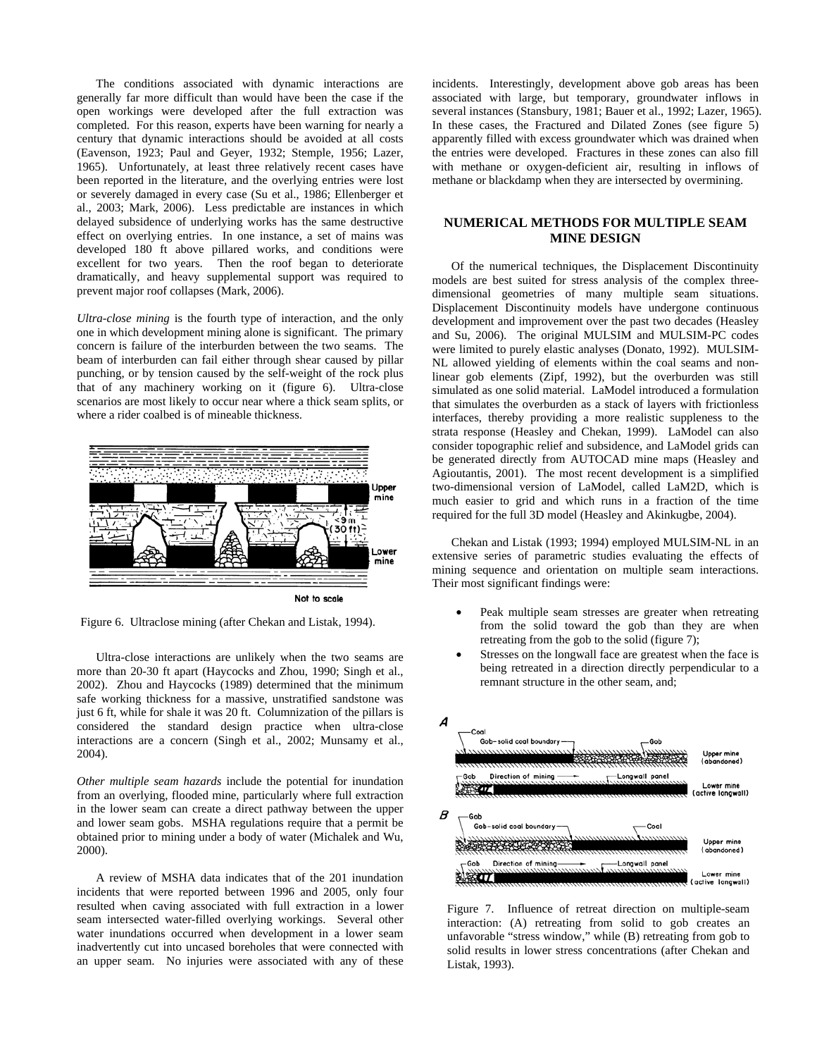The conditions associated with dynamic interactions are generally far more difficult than would have been the case if the open workings were developed after the full extraction was completed. For this reason, experts have been warning for nearly a century that dynamic interactions should be avoided at all costs (Eavenson, 1923; Paul and Geyer, 1932; Stemple, 1956; Lazer, 1965). Unfortunately, at least three relatively recent cases have been reported in the literature, and the overlying entries were lost or severely damaged in every case (Su et al., 1986; Ellenberger et al., 2003; Mark, 2006). Less predictable are instances in which delayed subsidence of underlying works has the same destructive effect on overlying entries. In one instance, a set of mains was developed 180 ft above pillared works, and conditions were excellent for two years. Then the roof began to deteriorate dramatically, and heavy supplemental support was required to prevent major roof collapses (Mark, 2006).

*Ultra-close mining* is the fourth type of interaction, and the only one in which development mining alone is significant. The primary concern is failure of the interburden between the two seams. The beam of interburden can fail either through shear caused by pillar punching, or by tension caused by the self-weight of the rock plus that of any machinery working on it (figure 6). Ultra-close scenarios are most likely to occur near where a thick seam splits, or where a rider coalbed is of mineable thickness.



Figure 6. Ultraclose mining (after Chekan and Listak, 1994).

 Ultra-close interactions are unlikely when the two seams are more than 20-30 ft apart (Haycocks and Zhou, 1990; Singh et al., 2002). Zhou and Haycocks (1989) determined that the minimum safe working thickness for a massive, unstratified sandstone was just 6 ft, while for shale it was 20 ft. Columnization of the pillars is considered the standard design practice when ultra-close interactions are a concern (Singh et al., 2002; Munsamy et al., 2004).

*Other multiple seam hazards* include the potential for inundation from an overlying, flooded mine, particularly where full extraction in the lower seam can create a direct pathway between the upper and lower seam gobs. MSHA regulations require that a permit be obtained prior to mining under a body of water (Michalek and Wu, 2000).

 A review of MSHA data indicates that of the 201 inundation incidents that were reported between 1996 and 2005, only four resulted when caving associated with full extraction in a lower seam intersected water-filled overlying workings. Several other water inundations occurred when development in a lower seam inadvertently cut into uncased boreholes that were connected with an upper seam. No injuries were associated with any of these incidents. Interestingly, development above gob areas has been associated with large, but temporary, groundwater inflows in several instances (Stansbury, 1981; Bauer et al., 1992; Lazer, 1965). In these cases, the Fractured and Dilated Zones (see figure 5) apparently filled with excess groundwater which was drained when the entries were developed. Fractures in these zones can also fill with methane or oxygen-deficient air, resulting in inflows of methane or blackdamp when they are intersected by overmining.

### **NUMERICAL METHODS FOR MULTIPLE SEAM MINE DESIGN**

 Of the numerical techniques, the Displacement Discontinuity models are best suited for stress analysis of the complex threedimensional geometries of many multiple seam situations. Displacement Discontinuity models have undergone continuous development and improvement over the past two decades (Heasley and Su, 2006). The original MULSIM and MULSIM-PC codes were limited to purely elastic analyses (Donato, 1992). MULSIM-NL allowed yielding of elements within the coal seams and nonlinear gob elements (Zipf, 1992), but the overburden was still simulated as one solid material. LaModel introduced a formulation that simulates the overburden as a stack of layers with frictionless interfaces, thereby providing a more realistic suppleness to the strata response (Heasley and Chekan, 1999). LaModel can also consider topographic relief and subsidence, and LaModel grids can be generated directly from AUTOCAD mine maps (Heasley and Agioutantis, 2001). The most recent development is a simplified two-dimensional version of LaModel, called LaM2D, which is much easier to grid and which runs in a fraction of the time required for the full 3D model (Heasley and Akinkugbe, 2004).

 Chekan and Listak (1993; 1994) employed MULSIM-NL in an extensive series of parametric studies evaluating the effects of mining sequence and orientation on multiple seam interactions. Their most significant findings were:

- Peak multiple seam stresses are greater when retreating from the solid toward the gob than they are when retreating from the gob to the solid (figure 7);
- Stresses on the longwall face are greatest when the face is being retreated in a direction directly perpendicular to a remnant structure in the other seam, and;



Figure 7. Influence of retreat direction on multiple-seam interaction: (A) retreating from solid to gob creates an unfavorable "stress window," while (B) retreating from gob to solid results in lower stress concentrations (after Chekan and Listak, 1993).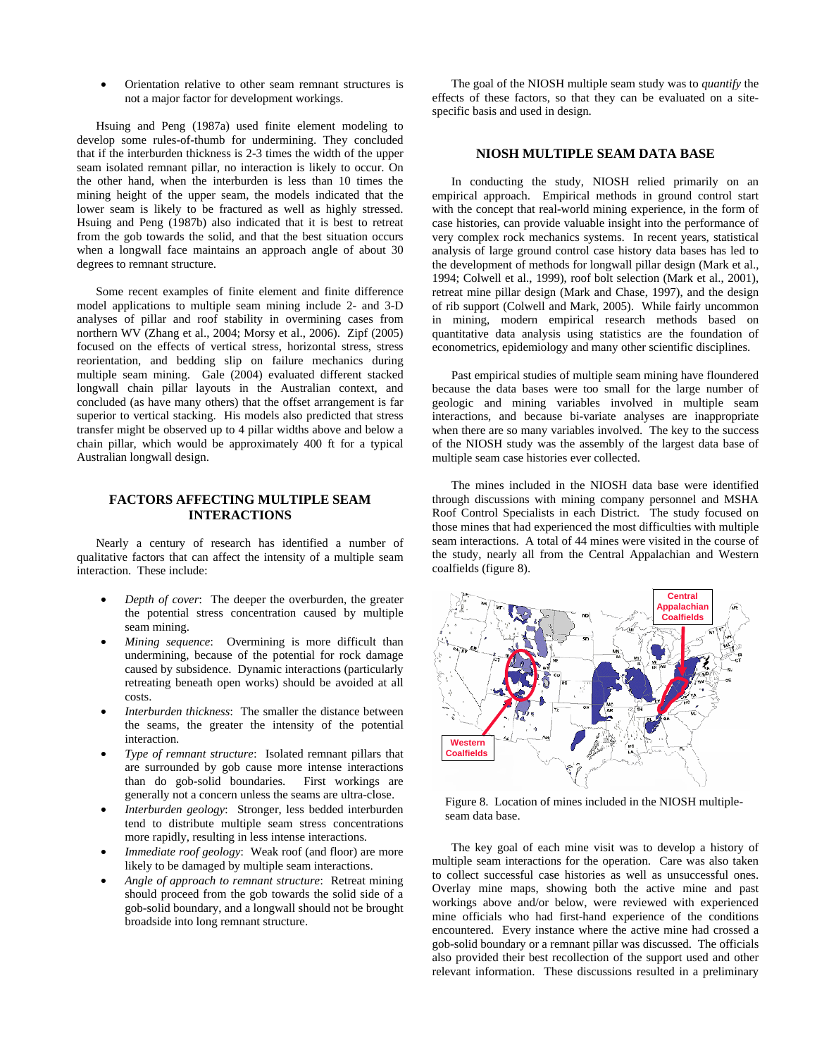• Orientation relative to other seam remnant structures is not a major factor for development workings.

 Hsuing and Peng (1987a) used finite element modeling to develop some rules-of-thumb for undermining. They concluded that if the interburden thickness is 2-3 times the width of the upper seam isolated remnant pillar, no interaction is likely to occur. On the other hand, when the interburden is less than 10 times the mining height of the upper seam, the models indicated that the lower seam is likely to be fractured as well as highly stressed. Hsuing and Peng (1987b) also indicated that it is best to retreat from the gob towards the solid, and that the best situation occurs when a longwall face maintains an approach angle of about 30 degrees to remnant structure.

 Some recent examples of finite element and finite difference model applications to multiple seam mining include 2- and 3-D analyses of pillar and roof stability in overmining cases from northern WV (Zhang et al., 2004; Morsy et al., 2006). Zipf (2005) focused on the effects of vertical stress, horizontal stress, stress reorientation, and bedding slip on failure mechanics during multiple seam mining. Gale (2004) evaluated different stacked longwall chain pillar layouts in the Australian context, and concluded (as have many others) that the offset arrangement is far superior to vertical stacking. His models also predicted that stress transfer might be observed up to 4 pillar widths above and below a chain pillar, which would be approximately 400 ft for a typical Australian longwall design.

### **FACTORS AFFECTING MULTIPLE SEAM INTERACTIONS**

 Nearly a century of research has identified a number of qualitative factors that can affect the intensity of a multiple seam interaction. These include:

- *Depth of cover*: The deeper the overburden, the greater the potential stress concentration caused by multiple seam mining.
- *Mining sequence*: Overmining is more difficult than undermining, because of the potential for rock damage caused by subsidence. Dynamic interactions (particularly retreating beneath open works) should be avoided at all costs.
- *Interburden thickness*: The smaller the distance between the seams, the greater the intensity of the potential interaction.
- *Type of remnant structure*: Isolated remnant pillars that are surrounded by gob cause more intense interactions than do gob-solid boundaries. First workings are generally not a concern unless the seams are ultra-close.
- *Interburden geology*: Stronger, less bedded interburden tend to distribute multiple seam stress concentrations more rapidly, resulting in less intense interactions.
- *Immediate roof geology*: Weak roof (and floor) are more likely to be damaged by multiple seam interactions.
- *Angle of approach to remnant structure*: Retreat mining should proceed from the gob towards the solid side of a gob-solid boundary, and a longwall should not be brought broadside into long remnant structure.

 The goal of the NIOSH multiple seam study was to *quantify* the effects of these factors, so that they can be evaluated on a sitespecific basis and used in design.

# **NIOSH MULTIPLE SEAM DATA BASE**

 In conducting the study, NIOSH relied primarily on an empirical approach. Empirical methods in ground control start with the concept that real-world mining experience, in the form of case histories, can provide valuable insight into the performance of very complex rock mechanics systems. In recent years, statistical analysis of large ground control case history data bases has led to the development of methods for longwall pillar design (Mark et al., 1994; Colwell et al., 1999), roof bolt selection (Mark et al., 2001), retreat mine pillar design (Mark and Chase, 1997), and the design of rib support (Colwell and Mark, 2005). While fairly uncommon in mining, modern empirical research methods based on quantitative data analysis using statistics are the foundation of econometrics, epidemiology and many other scientific disciplines.

 Past empirical studies of multiple seam mining have floundered because the data bases were too small for the large number of geologic and mining variables involved in multiple seam interactions, and because bi-variate analyses are inappropriate when there are so many variables involved. The key to the success of the NIOSH study was the assembly of the largest data base of multiple seam case histories ever collected.

 The mines included in the NIOSH data base were identified through discussions with mining company personnel and MSHA Roof Control Specialists in each District. The study focused on those mines that had experienced the most difficulties with multiple seam interactions. A total of 44 mines were visited in the course of the study, nearly all from the Central Appalachian and Western coalfields (figure 8).



Figure 8. Location of mines included in the NIOSH multipleseam data base.

 The key goal of each mine visit was to develop a history of multiple seam interactions for the operation. Care was also taken to collect successful case histories as well as unsuccessful ones. Overlay mine maps, showing both the active mine and past workings above and/or below, were reviewed with experienced mine officials who had first-hand experience of the conditions encountered. Every instance where the active mine had crossed a gob-solid boundary or a remnant pillar was discussed. The officials also provided their best recollection of the support used and other relevant information. These discussions resulted in a preliminary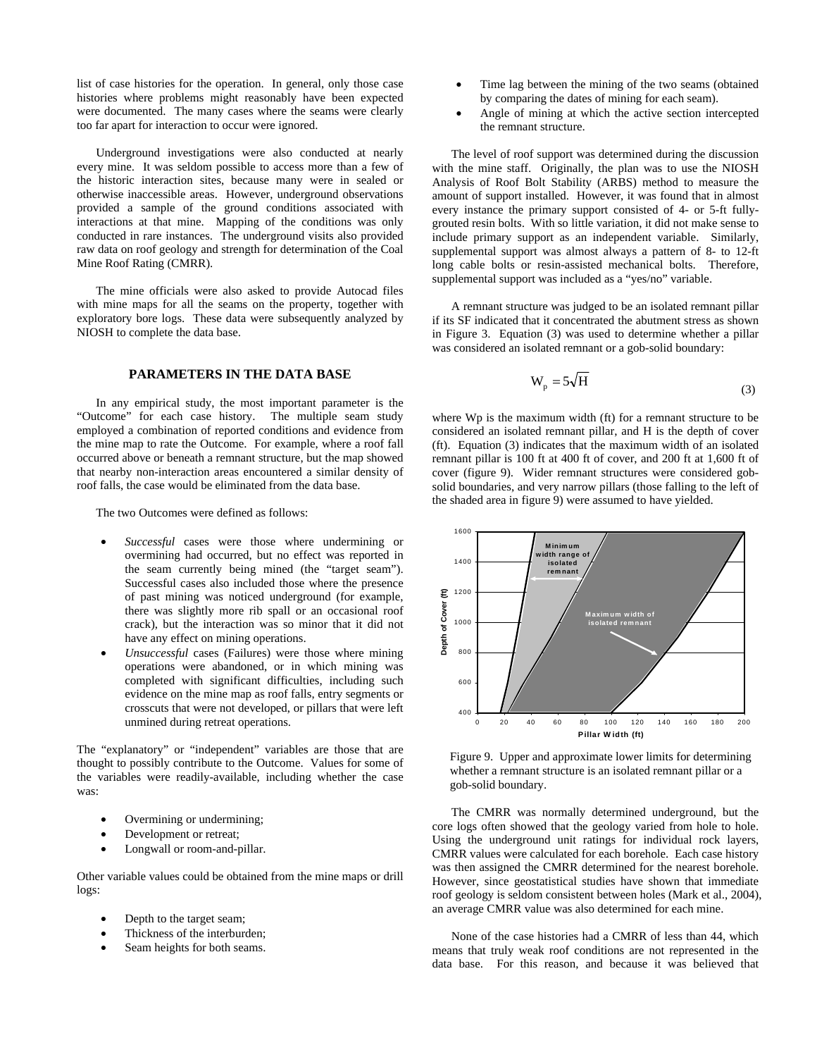list of case histories for the operation. In general, only those case histories where problems might reasonably have been expected were documented. The many cases where the seams were clearly too far apart for interaction to occur were ignored.

 Underground investigations were also conducted at nearly every mine. It was seldom possible to access more than a few of the historic interaction sites, because many were in sealed or otherwise inaccessible areas. However, underground observations provided a sample of the ground conditions associated with interactions at that mine. Mapping of the conditions was only conducted in rare instances. The underground visits also provided raw data on roof geology and strength for determination of the Coal Mine Roof Rating (CMRR).

 The mine officials were also asked to provide Autocad files with mine maps for all the seams on the property, together with exploratory bore logs. These data were subsequently analyzed by NIOSH to complete the data base.

# **PARAMETERS IN THE DATA BASE**

 In any empirical study, the most important parameter is the "Outcome" for each case history. The multiple seam study employed a combination of reported conditions and evidence from the mine map to rate the Outcome. For example, where a roof fall occurred above or beneath a remnant structure, but the map showed that nearby non-interaction areas encountered a similar density of roof falls, the case would be eliminated from the data base.

The two Outcomes were defined as follows:

- *Successful* cases were those where undermining or overmining had occurred, but no effect was reported in the seam currently being mined (the "target seam"). Successful cases also included those where the presence of past mining was noticed underground (for example, there was slightly more rib spall or an occasional roof crack), but the interaction was so minor that it did not have any effect on mining operations.
- *Unsuccessful* cases (Failures) were those where mining operations were abandoned, or in which mining was completed with significant difficulties, including such evidence on the mine map as roof falls, entry segments or crosscuts that were not developed, or pillars that were left unmined during retreat operations.

The "explanatory" or "independent" variables are those that are thought to possibly contribute to the Outcome. Values for some of the variables were readily-available, including whether the case was:

- Overmining or undermining;
- Development or retreat;
- Longwall or room-and-pillar.

Other variable values could be obtained from the mine maps or drill logs:

- Depth to the target seam;
- Thickness of the interburden;
- Seam heights for both seams.
- Time lag between the mining of the two seams (obtained by comparing the dates of mining for each seam).
- Angle of mining at which the active section intercepted the remnant structure.

 The level of roof support was determined during the discussion with the mine staff. Originally, the plan was to use the NIOSH Analysis of Roof Bolt Stability (ARBS) method to measure the amount of support installed. However, it was found that in almost every instance the primary support consisted of 4- or 5-ft fullygrouted resin bolts. With so little variation, it did not make sense to include primary support as an independent variable. Similarly, supplemental support was almost always a pattern of 8- to 12-ft long cable bolts or resin-assisted mechanical bolts. Therefore, supplemental support was included as a "yes/no" variable.

 A remnant structure was judged to be an isolated remnant pillar if its SF indicated that it concentrated the abutment stress as shown in Figure 3. Equation (3) was used to determine whether a pillar was considered an isolated remnant or a gob-solid boundary:

$$
W_p = 5\sqrt{H}
$$
 (3)

where Wp is the maximum width (ft) for a remnant structure to be considered an isolated remnant pillar, and H is the depth of cover (ft). Equation (3) indicates that the maximum width of an isolated remnant pillar is 100 ft at 400 ft of cover, and 200 ft at 1,600 ft of cover (figure 9). Wider remnant structures were considered gobsolid boundaries, and very narrow pillars (those falling to the left of the shaded area in figure 9) were assumed to have yielded.



Figure 9. Upper and approximate lower limits for determining whether a remnant structure is an isolated remnant pillar or a gob-solid boundary.

 The CMRR was normally determined underground, but the core logs often showed that the geology varied from hole to hole. Using the underground unit ratings for individual rock layers, CMRR values were calculated for each borehole. Each case history was then assigned the CMRR determined for the nearest borehole. However, since geostatistical studies have shown that immediate roof geology is seldom consistent between holes (Mark et al., 2004), an average CMRR value was also determined for each mine.

 None of the case histories had a CMRR of less than 44, which means that truly weak roof conditions are not represented in the data base. For this reason, and because it was believed that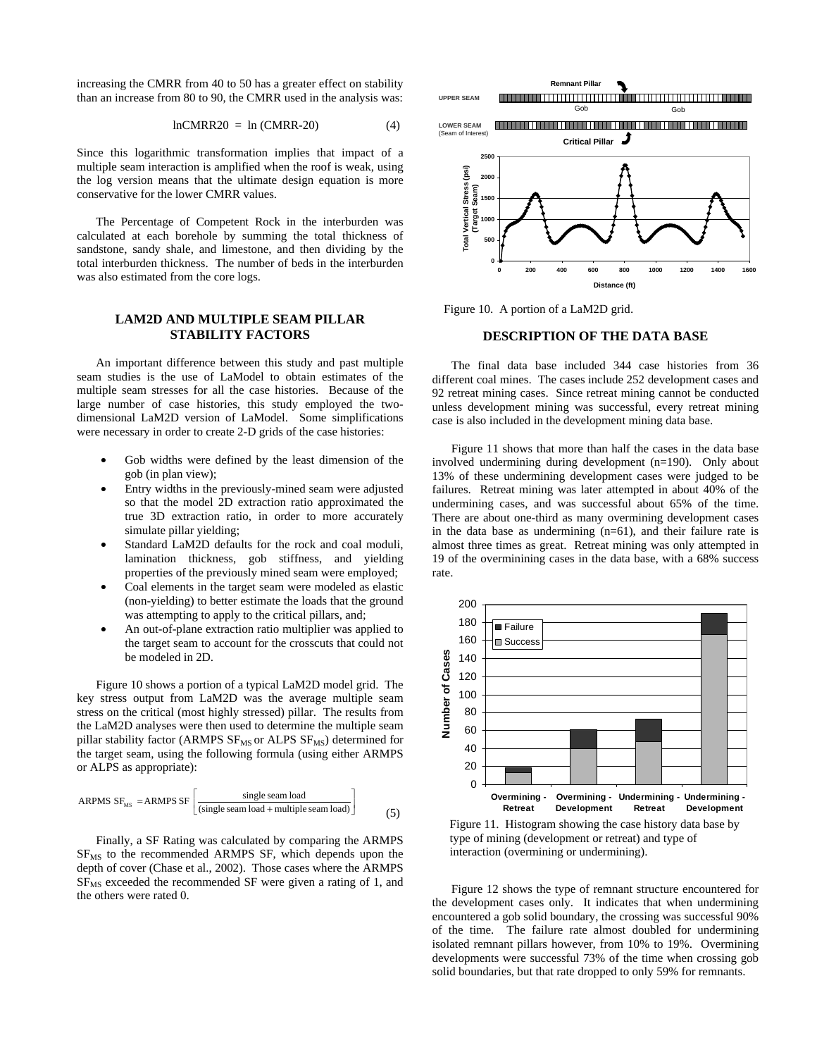increasing the CMRR from 40 to 50 has a greater effect on stability than an increase from 80 to 90, the CMRR used in the analysis was:

$$
lnCMRR20 = ln (CMRR-20)
$$
 (4)

Since this logarithmic transformation implies that impact of a multiple seam interaction is amplified when the roof is weak, using the log version means that the ultimate design equation is more conservative for the lower CMRR values.

 The Percentage of Competent Rock in the interburden was calculated at each borehole by summing the total thickness of sandstone, sandy shale, and limestone, and then dividing by the total interburden thickness. The number of beds in the interburden was also estimated from the core logs.

### **LAM2D AND MULTIPLE SEAM PILLAR STABILITY FACTORS**

 An important difference between this study and past multiple seam studies is the use of LaModel to obtain estimates of the multiple seam stresses for all the case histories. Because of the large number of case histories, this study employed the twodimensional LaM2D version of LaModel. Some simplifications were necessary in order to create 2-D grids of the case histories:

- Gob widths were defined by the least dimension of the gob (in plan view);
- Entry widths in the previously-mined seam were adjusted so that the model 2D extraction ratio approximated the true 3D extraction ratio, in order to more accurately simulate pillar yielding;
- Standard LaM2D defaults for the rock and coal moduli, lamination thickness, gob stiffness, and yielding properties of the previously mined seam were employed;
- Coal elements in the target seam were modeled as elastic (non-yielding) to better estimate the loads that the ground was attempting to apply to the critical pillars, and;
- An out-of-plane extraction ratio multiplier was applied to the target seam to account for the crosscuts that could not be modeled in 2D.

 Figure 10 shows a portion of a typical LaM2D model grid. The key stress output from LaM2D was the average multiple seam stress on the critical (most highly stressed) pillar. The results from the LaM2D analyses were then used to determine the multiple seam pillar stability factor (ARMPS  $SF_{MS}$  or ALPS  $SF_{MS}$ ) determined for the target seam, using the following formula (using either ARMPS or ALPS as appropriate):

$$
ARPMS SFMS = ARMPS SF \left[ \frac{\text{single scan load}}{(\text{single scan load} + \text{multiple scan load})} \right]
$$
 (5)

 Finally, a SF Rating was calculated by comparing the ARMPS  $SF<sub>MS</sub>$  to the recommended ARMPS SF, which depends upon the depth of cover (Chase et al., 2002). Those cases where the ARMPS  $SF<sub>MS</sub>$  exceeded the recommended SF were given a rating of 1, and the others were rated 0.



Figure 10. A portion of a LaM2D grid.

#### **DESCRIPTION OF THE DATA BASE**

 The final data base included 344 case histories from 36 different coal mines. The cases include 252 development cases and 92 retreat mining cases. Since retreat mining cannot be conducted unless development mining was successful, every retreat mining case is also included in the development mining data base.

 Figure 11 shows that more than half the cases in the data base involved undermining during development (n=190). Only about 13% of these undermining development cases were judged to be failures. Retreat mining was later attempted in about 40% of the undermining cases, and was successful about 65% of the time. There are about one-third as many overmining development cases in the data base as undermining  $(n=61)$ , and their failure rate is almost three times as great. Retreat mining was only attempted in 19 of the overminining cases in the data base, with a 68% success rate.



Figure 11. Histogram showing the case history data base by type of mining (development or retreat) and type of interaction (overmining or undermining).

 Figure 12 shows the type of remnant structure encountered for the development cases only. It indicates that when undermining encountered a gob solid boundary, the crossing was successful 90% of the time. The failure rate almost doubled for undermining isolated remnant pillars however, from 10% to 19%. Overmining developments were successful 73% of the time when crossing gob solid boundaries, but that rate dropped to only 59% for remnants.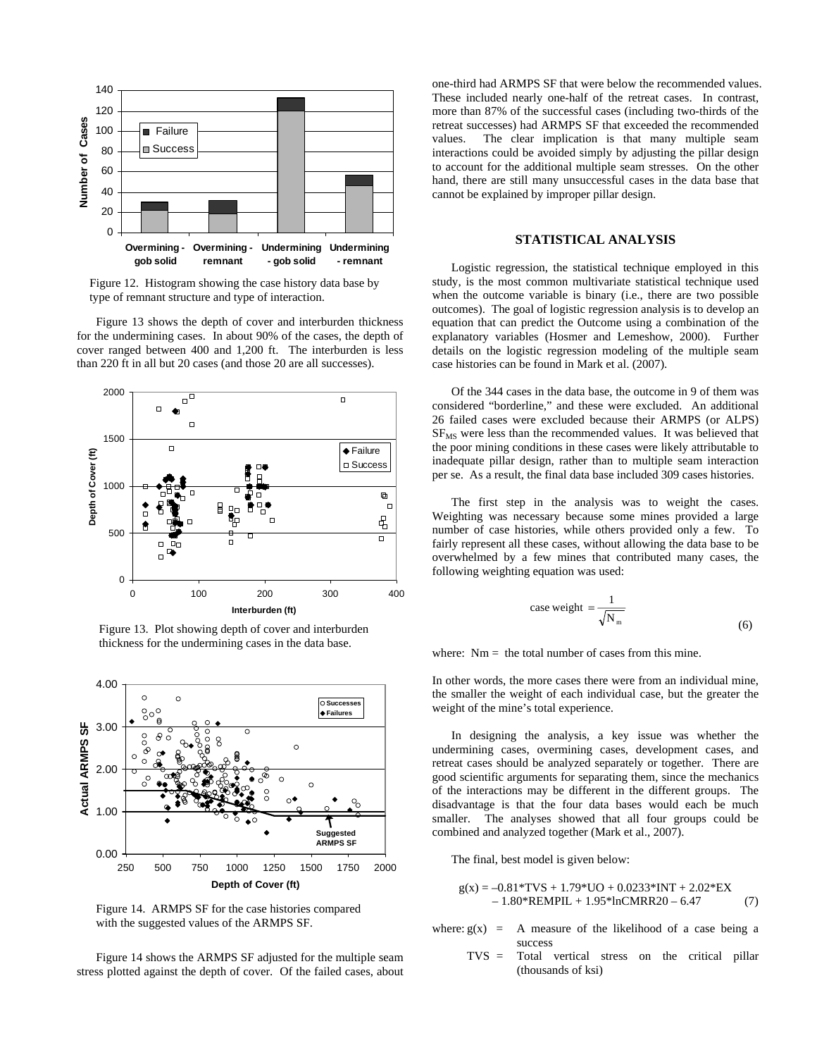

Figure 12. Histogram showing the case history data base by type of remnant structure and type of interaction.

 Figure 13 shows the depth of cover and interburden thickness for the undermining cases. In about 90% of the cases, the depth of cover ranged between 400 and 1,200 ft. The interburden is less than 220 ft in all but 20 cases (and those 20 are all successes).



Figure 13. Plot showing depth of cover and interburden thickness for the undermining cases in the data base.



Figure 14. ARMPS SF for the case histories compared with the suggested values of the ARMPS SF.

 Figure 14 shows the ARMPS SF adjusted for the multiple seam stress plotted against the depth of cover. Of the failed cases, about one-third had ARMPS SF that were below the recommended values. These included nearly one-half of the retreat cases. In contrast, more than 87% of the successful cases (including two-thirds of the retreat successes) had ARMPS SF that exceeded the recommended values. The clear implication is that many multiple seam interactions could be avoided simply by adjusting the pillar design to account for the additional multiple seam stresses. On the other hand, there are still many unsuccessful cases in the data base that cannot be explained by improper pillar design.

#### **STATISTICAL ANALYSIS**

 Logistic regression, the statistical technique employed in this study, is the most common multivariate statistical technique used when the outcome variable is binary (i.e., there are two possible outcomes). The goal of logistic regression analysis is to develop an equation that can predict the Outcome using a combination of the explanatory variables (Hosmer and Lemeshow, 2000). Further details on the logistic regression modeling of the multiple seam case histories can be found in Mark et al. (2007).

 Of the 344 cases in the data base, the outcome in 9 of them was considered "borderline," and these were excluded. An additional 26 failed cases were excluded because their ARMPS (or ALPS)  $SF<sub>MS</sub>$  were less than the recommended values. It was believed that the poor mining conditions in these cases were likely attributable to inadequate pillar design, rather than to multiple seam interaction per se. As a result, the final data base included 309 cases histories.

 The first step in the analysis was to weight the cases. Weighting was necessary because some mines provided a large number of case histories, while others provided only a few. To fairly represent all these cases, without allowing the data base to be overwhelmed by a few mines that contributed many cases, the following weighting equation was used:

case weight = 
$$
\frac{1}{\sqrt{N_m}}
$$
 (6)

where:  $Nm =$  the total number of cases from this mine.

In other words, the more cases there were from an individual mine, the smaller the weight of each individual case, but the greater the weight of the mine's total experience.

 In designing the analysis, a key issue was whether the undermining cases, overmining cases, development cases, and retreat cases should be analyzed separately or together. There are good scientific arguments for separating them, since the mechanics of the interactions may be different in the different groups. The disadvantage is that the four data bases would each be much smaller. The analyses showed that all four groups could be combined and analyzed together (Mark et al., 2007).

The final, best model is given below:

$$
g(x) = -0.81*TVS + 1.79*UO + 0.0233*INT + 2.02*EX- 1.80*REMPIL + 1.95*InCMRR20 - 6.47
$$
 (7)

- where:  $g(x) = A$  measure of the likelihood of a case being a success
	- TVS = Total vertical stress on the critical pillar (thousands of ksi)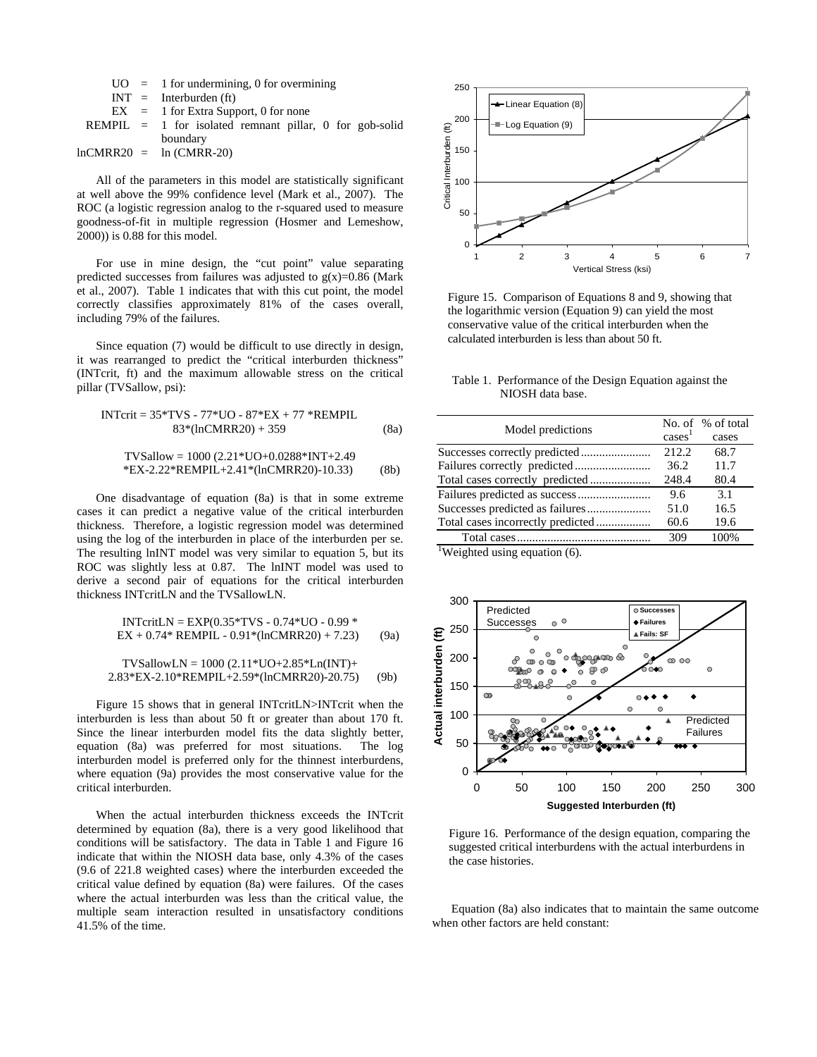|                           | $UO = 1$ for undermining, 0 for overmining                |
|---------------------------|-----------------------------------------------------------|
|                           | $INT = Interburden (ft)$                                  |
|                           | $EX = 1$ for Extra Support, 0 for none                    |
|                           | $REMPIL = 1$ for isolated remnant pillar, 0 for gob-solid |
|                           | boundary                                                  |
| $lnCMRR20 = ln (CMRR-20)$ |                                                           |

 All of the parameters in this model are statistically significant at well above the 99% confidence level (Mark et al., 2007). The ROC (a logistic regression analog to the r-squared used to measure goodness-of-fit in multiple regression (Hosmer and Lemeshow, 2000)) is 0.88 for this model.

 For use in mine design, the "cut point" value separating predicted successes from failures was adjusted to  $g(x)=0.86$  (Mark et al., 2007). Table 1 indicates that with this cut point, the model correctly classifies approximately 81% of the cases overall, including 79% of the failures.

 Since equation (7) would be difficult to use directly in design, it was rearranged to predict the "critical interburden thickness" (INTcrit, ft) and the maximum allowable stress on the critical pillar (TVSallow, psi):

$$
INTcrit = 35*TVS - 77*UO - 87*EX + 77*REMPIL
$$

$$
83*(lnCMRR20) + 359
$$
 (8a)

$$
TVSallow = 1000 (2.21*UO+0.0288*INT+2.49
$$
  
\*EX-2.22\*REMPIL+2.41\*(lnCMRR20)-10.33) (8b)

 One disadvantage of equation (8a) is that in some extreme cases it can predict a negative value of the critical interburden thickness. Therefore, a logistic regression model was determined using the log of the interburden in place of the interburden per se. The resulting lnINT model was very similar to equation 5, but its ROC was slightly less at 0.87. The lnINT model was used to derive a second pair of equations for the critical interburden thickness INTcritLN and the TVSallowLN.

$$
INTcritLN = EXP(0.35*TVS - 0.74*UO - 0.99*EX + 0.74* REMPIL - 0.91*(lnCMRR20) + 7.23)
$$
 (9a)

$$
TVSallowLN = 1000 (2.11*UO+2.85*Ln(INT)+2.83*EX-2.10*REMPIL+2.59*(lnCMRR20)-20.75)
$$
 (9b)

 Figure 15 shows that in general INTcritLN>INTcrit when the interburden is less than about 50 ft or greater than about 170 ft. Since the linear interburden model fits the data slightly better, equation (8a) was preferred for most situations. The log interburden model is preferred only for the thinnest interburdens, where equation (9a) provides the most conservative value for the critical interburden.

 When the actual interburden thickness exceeds the INTcrit determined by equation (8a), there is a very good likelihood that conditions will be satisfactory. The data in Table 1 and Figure 16 indicate that within the NIOSH data base, only 4.3% of the cases (9.6 of 221.8 weighted cases) where the interburden exceeded the critical value defined by equation (8a) were failures. Of the cases where the actual interburden was less than the critical value, the multiple seam interaction resulted in unsatisfactory conditions 41.5% of the time.



Figure 15. Comparison of Equations 8 and 9, showing that the logarithmic version (Equation 9) can yield the most conservative value of the critical interburden when the calculated interburden is less than about 50 ft.

Table 1. Performance of the Design Equation against the NIOSH data base.

| Model predictions                          |                    | No. of % of total |
|--------------------------------------------|--------------------|-------------------|
|                                            | cases <sup>1</sup> | cases             |
|                                            | 212.2.             | 68.7              |
|                                            | 36.2               | 11.7              |
| Total cases correctly predicted            | 248.4              | 80.4              |
|                                            | 9.6                | 3.1               |
|                                            | 51.0               | 16.5              |
| Total cases incorrectly predicted          | 60.6               | 19.6              |
|                                            | 309                | 100%              |
| $\sqrt[1]{1}$ Weighted using equation (6). |                    |                   |



Figure 16. Performance of the design equation, comparing the suggested critical interburdens with the actual interburdens in the case histories.

 Equation (8a) also indicates that to maintain the same outcome when other factors are held constant: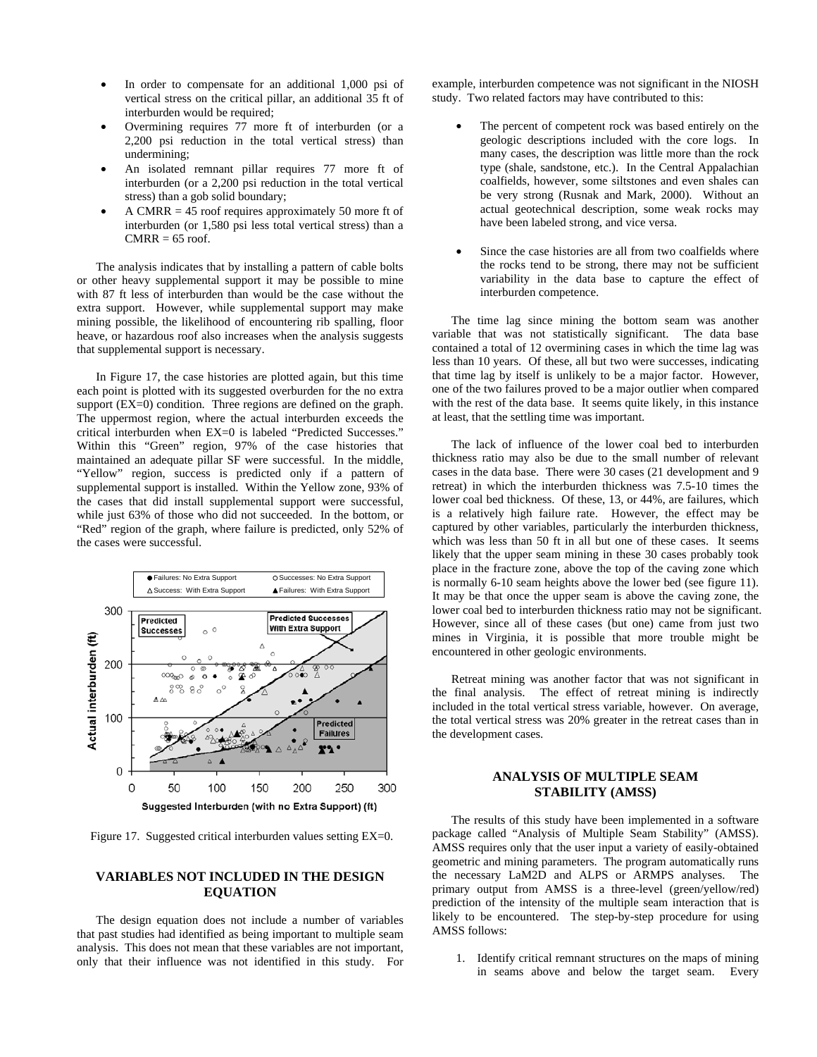- In order to compensate for an additional 1,000 psi of vertical stress on the critical pillar, an additional 35 ft of interburden would be required;
- Overmining requires 77 more ft of interburden (or a 2,200 psi reduction in the total vertical stress) than undermining;
- An isolated remnant pillar requires 77 more ft of interburden (or a 2,200 psi reduction in the total vertical stress) than a gob solid boundary;
- A CMRR  $= 45$  roof requires approximately 50 more ft of interburden (or 1,580 psi less total vertical stress) than a  $CMRR = 65$  roof.

 The analysis indicates that by installing a pattern of cable bolts or other heavy supplemental support it may be possible to mine with 87 ft less of interburden than would be the case without the extra support. However, while supplemental support may make mining possible, the likelihood of encountering rib spalling, floor heave, or hazardous roof also increases when the analysis suggests that supplemental support is necessary.

 In Figure 17, the case histories are plotted again, but this time each point is plotted with its suggested overburden for the no extra support (EX=0) condition. Three regions are defined on the graph. The uppermost region, where the actual interburden exceeds the critical interburden when EX=0 is labeled "Predicted Successes." Within this "Green" region, 97% of the case histories that maintained an adequate pillar SF were successful. In the middle, "Yellow" region, success is predicted only if a pattern of supplemental support is installed. Within the Yellow zone, 93% of the cases that did install supplemental support were successful, while just 63% of those who did not succeeded. In the bottom, or "Red" region of the graph, where failure is predicted, only 52% of the cases were successful.



Figure 17. Suggested critical interburden values setting EX=0.

# **VARIABLES NOT INCLUDED IN THE DESIGN EQUATION**

 The design equation does not include a number of variables that past studies had identified as being important to multiple seam analysis. This does not mean that these variables are not important, only that their influence was not identified in this study. For example, interburden competence was not significant in the NIOSH study. Two related factors may have contributed to this:

- The percent of competent rock was based entirely on the geologic descriptions included with the core logs. In many cases, the description was little more than the rock type (shale, sandstone, etc.). In the Central Appalachian coalfields, however, some siltstones and even shales can be very strong (Rusnak and Mark, 2000). Without an actual geotechnical description, some weak rocks may have been labeled strong, and vice versa.
- Since the case histories are all from two coalfields where the rocks tend to be strong, there may not be sufficient variability in the data base to capture the effect of interburden competence.

 The time lag since mining the bottom seam was another variable that was not statistically significant. The data base contained a total of 12 overmining cases in which the time lag was less than 10 years. Of these, all but two were successes, indicating that time lag by itself is unlikely to be a major factor. However, one of the two failures proved to be a major outlier when compared with the rest of the data base. It seems quite likely, in this instance at least, that the settling time was important.

 The lack of influence of the lower coal bed to interburden thickness ratio may also be due to the small number of relevant cases in the data base. There were 30 cases (21 development and 9 retreat) in which the interburden thickness was 7.5-10 times the lower coal bed thickness. Of these, 13, or 44%, are failures, which is a relatively high failure rate. However, the effect may be captured by other variables, particularly the interburden thickness, which was less than 50 ft in all but one of these cases. It seems likely that the upper seam mining in these 30 cases probably took place in the fracture zone, above the top of the caving zone which is normally 6-10 seam heights above the lower bed (see figure 11). It may be that once the upper seam is above the caving zone, the lower coal bed to interburden thickness ratio may not be significant. However, since all of these cases (but one) came from just two mines in Virginia, it is possible that more trouble might be encountered in other geologic environments.

 Retreat mining was another factor that was not significant in the final analysis. The effect of retreat mining is indirectly included in the total vertical stress variable, however. On average, the total vertical stress was 20% greater in the retreat cases than in the development cases.

### **ANALYSIS OF MULTIPLE SEAM STABILITY (AMSS)**

 The results of this study have been implemented in a software package called "Analysis of Multiple Seam Stability" (AMSS). AMSS requires only that the user input a variety of easily-obtained geometric and mining parameters. The program automatically runs the necessary LaM2D and ALPS or ARMPS analyses. The primary output from AMSS is a three-level (green/yellow/red) prediction of the intensity of the multiple seam interaction that is likely to be encountered. The step-by-step procedure for using AMSS follows:

1. Identify critical remnant structures on the maps of mining in seams above and below the target seam. Every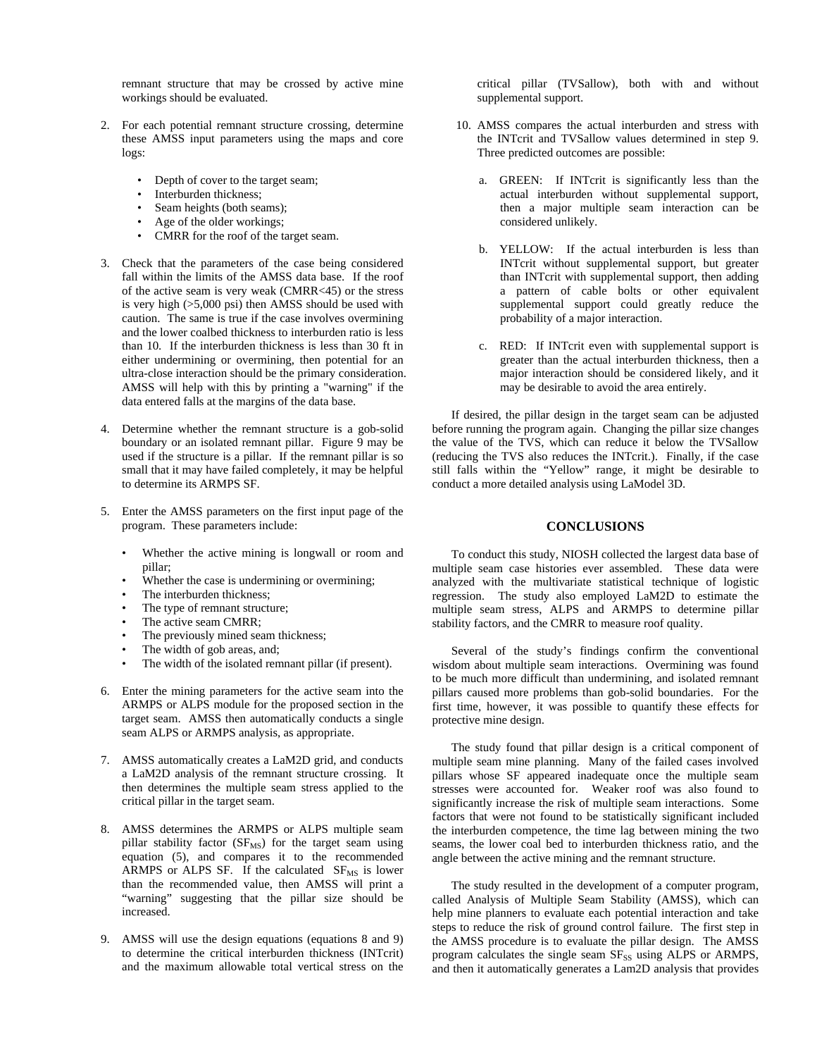remnant structure that may be crossed by active mine workings should be evaluated.

- 2. For each potential remnant structure crossing, determine these AMSS input parameters using the maps and core logs:
	- Depth of cover to the target seam;
	- Interburden thickness:
	- Seam heights (both seams):
	- Age of the older workings;
	- CMRR for the roof of the target seam.
- 3. Check that the parameters of the case being considered fall within the limits of the AMSS data base. If the roof of the active seam is very weak (CMRR<45) or the stress is very high (>5,000 psi) then AMSS should be used with caution. The same is true if the case involves overmining and the lower coalbed thickness to interburden ratio is less than 10. If the interburden thickness is less than 30 ft in either undermining or overmining, then potential for an ultra-close interaction should be the primary consideration. AMSS will help with this by printing a "warning" if the data entered falls at the margins of the data base.
- 4. Determine whether the remnant structure is a gob-solid boundary or an isolated remnant pillar. Figure 9 may be used if the structure is a pillar. If the remnant pillar is so small that it may have failed completely, it may be helpful to determine its ARMPS SF.
- 5. Enter the AMSS parameters on the first input page of the program. These parameters include:
	- Whether the active mining is longwall or room and pillar;
	- Whether the case is undermining or overmining;
	- The interburden thickness;
	- The type of remnant structure;
	- The active seam CMRR;
	- The previously mined seam thickness;
	- The width of gob areas, and;
	- The width of the isolated remnant pillar (if present).
- 6. Enter the mining parameters for the active seam into the ARMPS or ALPS module for the proposed section in the target seam. AMSS then automatically conducts a single seam ALPS or ARMPS analysis, as appropriate.
- 7. AMSS automatically creates a LaM2D grid, and conducts a LaM2D analysis of the remnant structure crossing. It then determines the multiple seam stress applied to the critical pillar in the target seam.
- 8. AMSS determines the ARMPS or ALPS multiple seam pillar stability factor ( $SF_{MS}$ ) for the target seam using equation (5), and compares it to the recommended ARMPS or ALPS SF. If the calculated  $SF_{MS}$  is lower than the recommended value, then AMSS will print a "warning" suggesting that the pillar size should be increased.
- 9. AMSS will use the design equations (equations 8 and 9) to determine the critical interburden thickness (INTcrit) and the maximum allowable total vertical stress on the

critical pillar (TVSallow), both with and without supplemental support.

- 10. AMSS compares the actual interburden and stress with the INTcrit and TVSallow values determined in step 9. Three predicted outcomes are possible:
	- a. GREEN: If INTcrit is significantly less than the actual interburden without supplemental support, then a major multiple seam interaction can be considered unlikely.
	- b. YELLOW: If the actual interburden is less than INTcrit without supplemental support, but greater than INTcrit with supplemental support, then adding a pattern of cable bolts or other equivalent supplemental support could greatly reduce the probability of a major interaction.
	- c. RED: If INTcrit even with supplemental support is greater than the actual interburden thickness, then a major interaction should be considered likely, and it may be desirable to avoid the area entirely.

 If desired, the pillar design in the target seam can be adjusted before running the program again. Changing the pillar size changes the value of the TVS, which can reduce it below the TVSallow (reducing the TVS also reduces the INTcrit.). Finally, if the case still falls within the "Yellow" range, it might be desirable to conduct a more detailed analysis using LaModel 3D.

#### **CONCLUSIONS**

 To conduct this study, NIOSH collected the largest data base of multiple seam case histories ever assembled. These data were analyzed with the multivariate statistical technique of logistic regression. The study also employed LaM2D to estimate the multiple seam stress, ALPS and ARMPS to determine pillar stability factors, and the CMRR to measure roof quality.

 Several of the study's findings confirm the conventional wisdom about multiple seam interactions. Overmining was found to be much more difficult than undermining, and isolated remnant pillars caused more problems than gob-solid boundaries. For the first time, however, it was possible to quantify these effects for protective mine design.

 The study found that pillar design is a critical component of multiple seam mine planning. Many of the failed cases involved pillars whose SF appeared inadequate once the multiple seam stresses were accounted for. Weaker roof was also found to significantly increase the risk of multiple seam interactions. Some factors that were not found to be statistically significant included the interburden competence, the time lag between mining the two seams, the lower coal bed to interburden thickness ratio, and the angle between the active mining and the remnant structure.

 The study resulted in the development of a computer program, called Analysis of Multiple Seam Stability (AMSS), which can help mine planners to evaluate each potential interaction and take steps to reduce the risk of ground control failure. The first step in the AMSS procedure is to evaluate the pillar design. The AMSS program calculates the single seam SF<sub>SS</sub> using ALPS or ARMPS, and then it automatically generates a Lam2D analysis that provides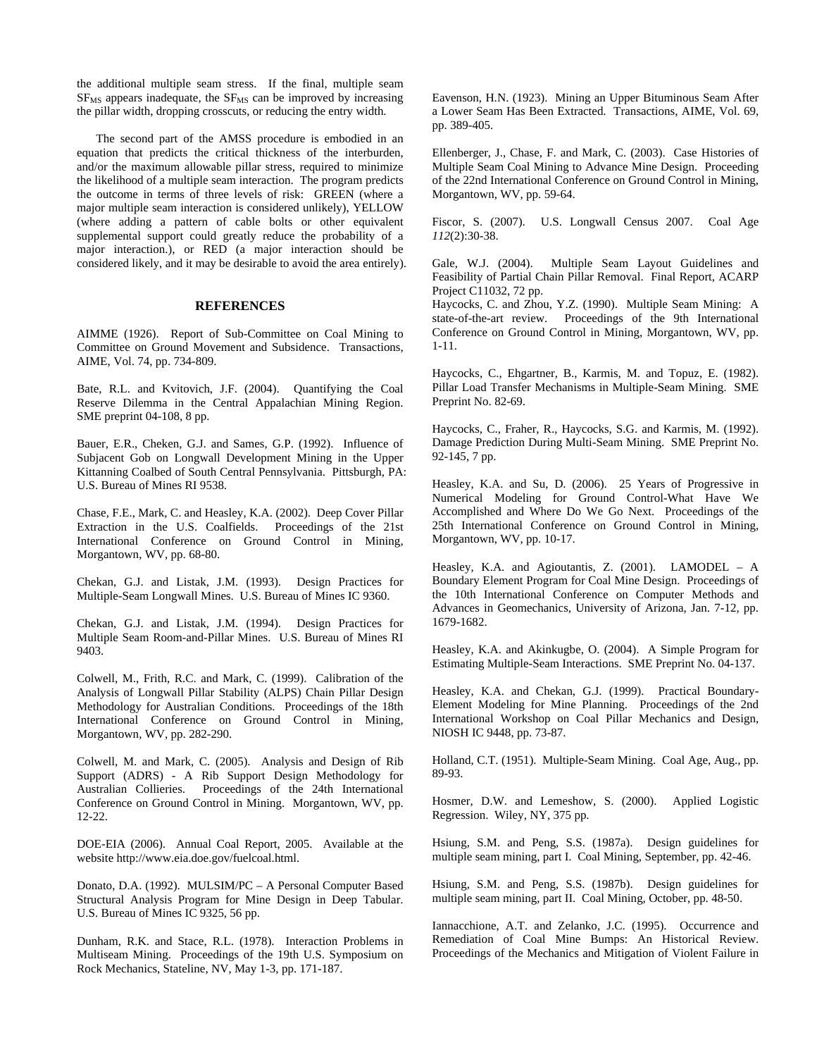the additional multiple seam stress. If the final, multiple seam  $SF<sub>MS</sub>$  appears inadequate, the  $SF<sub>MS</sub>$  can be improved by increasing the pillar width, dropping crosscuts, or reducing the entry width.

 The second part of the AMSS procedure is embodied in an equation that predicts the critical thickness of the interburden, and/or the maximum allowable pillar stress, required to minimize the likelihood of a multiple seam interaction. The program predicts the outcome in terms of three levels of risk: GREEN (where a major multiple seam interaction is considered unlikely), YELLOW (where adding a pattern of cable bolts or other equivalent supplemental support could greatly reduce the probability of a major interaction.), or RED (a major interaction should be considered likely, and it may be desirable to avoid the area entirely).

#### **REFERENCES**

AIMME (1926). Report of Sub-Committee on Coal Mining to Committee on Ground Movement and Subsidence. Transactions, AIME, Vol. 74, pp. 734-809.

Bate, R.L. and Kvitovich, J.F. (2004). Quantifying the Coal Reserve Dilemma in the Central Appalachian Mining Region. SME preprint 04-108, 8 pp.

Bauer, E.R., Cheken, G.J. and Sames, G.P. (1992). Influence of Subjacent Gob on Longwall Development Mining in the Upper Kittanning Coalbed of South Central Pennsylvania. Pittsburgh, PA: U.S. Bureau of Mines RI 9538.

Chase, F.E., Mark, C. and Heasley, K.A. (2002). Deep Cover Pillar Extraction in the U.S. Coalfields. Proceedings of the 21st International Conference on Ground Control in Mining, Morgantown, WV, pp. 68-80.

Chekan, G.J. and Listak, J.M. (1993). Design Practices for Multiple-Seam Longwall Mines. U.S. Bureau of Mines IC 9360.

Chekan, G.J. and Listak, J.M. (1994). Design Practices for Multiple Seam Room-and-Pillar Mines. U.S. Bureau of Mines RI 9403.

Colwell, M., Frith, R.C. and Mark, C. (1999). Calibration of the Analysis of Longwall Pillar Stability (ALPS) Chain Pillar Design Methodology for Australian Conditions. Proceedings of the 18th International Conference on Ground Control in Mining, Morgantown, WV, pp. 282-290.

Colwell, M. and Mark, C. (2005). Analysis and Design of Rib Support (ADRS) - A Rib Support Design Methodology for Australian Collieries. Proceedings of the 24th International Conference on Ground Control in Mining. Morgantown, WV, pp. 12-22.

DOE-EIA (2006). Annual Coal Report, 2005. Available at the website http://www.eia.doe.gov/fuelcoal.html.

Donato, D.A. (1992). MULSIM/PC – A Personal Computer Based Structural Analysis Program for Mine Design in Deep Tabular. U.S. Bureau of Mines IC 9325, 56 pp.

Dunham, R.K. and Stace, R.L. (1978). Interaction Problems in Multiseam Mining. Proceedings of the 19th U.S. Symposium on Rock Mechanics, Stateline, NV, May 1-3, pp. 171-187.

Eavenson, H.N. (1923). Mining an Upper Bituminous Seam After a Lower Seam Has Been Extracted. Transactions, AIME, Vol. 69, pp. 389-405.

Ellenberger, J., Chase, F. and Mark, C. (2003). Case Histories of Multiple Seam Coal Mining to Advance Mine Design. Proceeding of the 22nd International Conference on Ground Control in Mining, Morgantown, WV, pp. 59-64.

Fiscor, S. (2007). U.S. Longwall Census 2007. Coal Age *112*(2):30-38.

Gale, W.J. (2004). Multiple Seam Layout Guidelines and Feasibility of Partial Chain Pillar Removal. Final Report, ACARP Project C11032, 72 pp.

Haycocks, C. and Zhou, Y.Z. (1990). Multiple Seam Mining: A state-of-the-art review. Proceedings of the 9th International Conference on Ground Control in Mining, Morgantown, WV, pp. 1-11.

Haycocks, C., Ehgartner, B., Karmis, M. and Topuz, E. (1982). Pillar Load Transfer Mechanisms in Multiple-Seam Mining. SME Preprint No. 82-69.

Haycocks, C., Fraher, R., Haycocks, S.G. and Karmis, M. (1992). Damage Prediction During Multi-Seam Mining. SME Preprint No. 92-145, 7 pp.

Heasley, K.A. and Su, D. (2006). 25 Years of Progressive in Numerical Modeling for Ground Control-What Have We Accomplished and Where Do We Go Next. Proceedings of the 25th International Conference on Ground Control in Mining, Morgantown, WV, pp. 10-17.

Heasley, K.A. and Agioutantis, Z. (2001). LAMODEL – A Boundary Element Program for Coal Mine Design. Proceedings of the 10th International Conference on Computer Methods and Advances in Geomechanics, University of Arizona, Jan. 7-12, pp. 1679-1682.

Heasley, K.A. and Akinkugbe, O. (2004). A Simple Program for Estimating Multiple-Seam Interactions. SME Preprint No. 04-137.

Heasley, K.A. and Chekan, G.J. (1999). Practical Boundary-Element Modeling for Mine Planning. Proceedings of the 2nd International Workshop on Coal Pillar Mechanics and Design, NIOSH IC 9448, pp. 73-87.

Holland, C.T. (1951). Multiple-Seam Mining. Coal Age, Aug., pp. 89-93.

Hosmer, D.W. and Lemeshow, S. (2000). Applied Logistic Regression. Wiley, NY, 375 pp.

Hsiung, S.M. and Peng, S.S. (1987a). Design guidelines for multiple seam mining, part I. Coal Mining, September, pp. 42-46.

Hsiung, S.M. and Peng, S.S. (1987b). Design guidelines for multiple seam mining, part II. Coal Mining, October, pp. 48-50.

Iannacchione, A.T. and Zelanko, J.C. (1995). Occurrence and Remediation of Coal Mine Bumps: An Historical Review. Proceedings of the Mechanics and Mitigation of Violent Failure in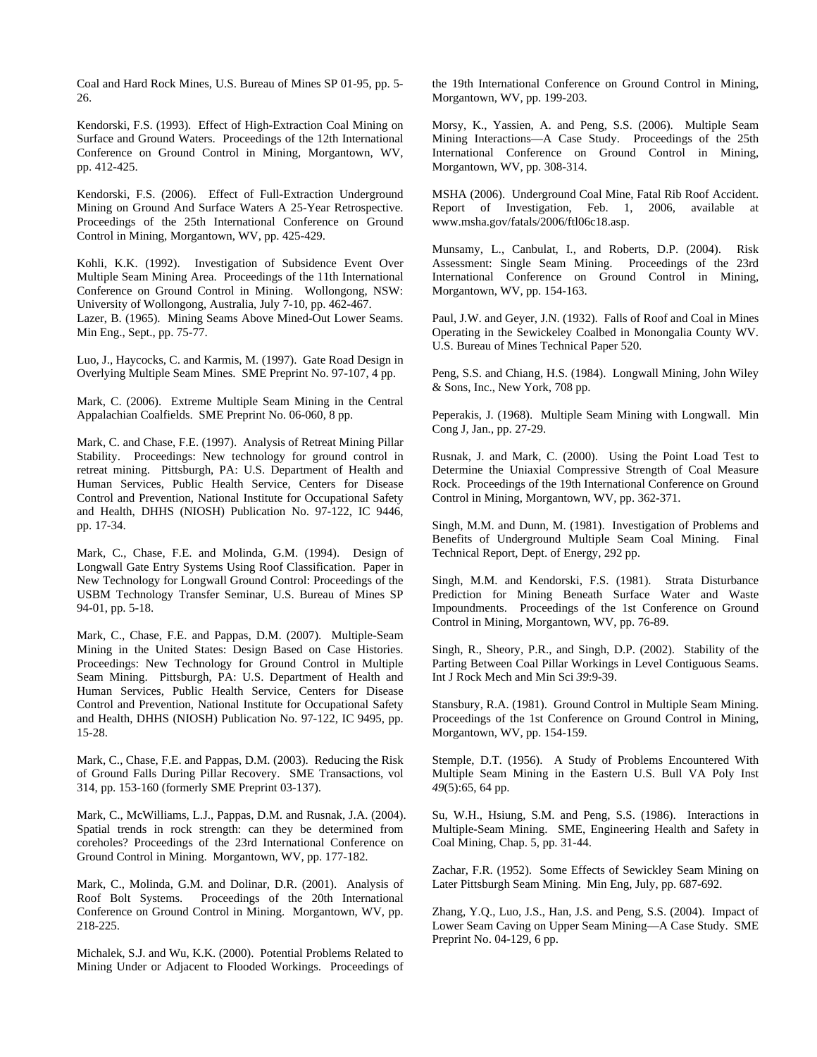Coal and Hard Rock Mines, U.S. Bureau of Mines SP 01-95, pp. 5- 26.

Kendorski, F.S. (1993). Effect of High-Extraction Coal Mining on Surface and Ground Waters. Proceedings of the 12th International Conference on Ground Control in Mining, Morgantown, WV, pp. 412-425.

Kendorski, F.S. (2006). Effect of Full-Extraction Underground Mining on Ground And Surface Waters A 25-Year Retrospective. Proceedings of the 25th International Conference on Ground Control in Mining, Morgantown, WV, pp. 425-429.

Kohli, K.K. (1992). Investigation of Subsidence Event Over Multiple Seam Mining Area. Proceedings of the 11th International Conference on Ground Control in Mining. Wollongong, NSW: University of Wollongong, Australia, July 7-10, pp. 462-467.

Lazer, B. (1965). Mining Seams Above Mined-Out Lower Seams. Min Eng., Sept., pp. 75-77.

Luo, J., Haycocks, C. and Karmis, M. (1997). Gate Road Design in Overlying Multiple Seam Mines. SME Preprint No. 97-107, 4 pp.

Mark, C. (2006). Extreme Multiple Seam Mining in the Central Appalachian Coalfields. SME Preprint No. 06-060, 8 pp.

Mark, C. and Chase, F.E. (1997). Analysis of Retreat Mining Pillar Stability. Proceedings: New technology for ground control in retreat mining. Pittsburgh, PA: U.S. Department of Health and Human Services, Public Health Service, Centers for Disease Control and Prevention, National Institute for Occupational Safety and Health, DHHS (NIOSH) Publication No. 97-122, IC 9446, pp. 17-34.

Mark, C., Chase, F.E. and Molinda, G.M. (1994). Design of Longwall Gate Entry Systems Using Roof Classification. Paper in New Technology for Longwall Ground Control: Proceedings of the USBM Technology Transfer Seminar, U.S. Bureau of Mines SP 94-01, pp. 5-18.

Mark, C., Chase, F.E. and Pappas, D.M. (2007). Multiple-Seam Mining in the United States: Design Based on Case Histories. Proceedings: New Technology for Ground Control in Multiple Seam Mining. Pittsburgh, PA: U.S. Department of Health and Human Services, Public Health Service, Centers for Disease Control and Prevention, National Institute for Occupational Safety and Health, DHHS (NIOSH) Publication No. 97-122, IC 9495, pp. 15-28.

Mark, C., Chase, F.E. and Pappas, D.M. (2003). Reducing the Risk of Ground Falls During Pillar Recovery. SME Transactions, vol 314, pp. 153-160 (formerly SME Preprint 03-137).

Mark, C., McWilliams, L.J., Pappas, D.M. and Rusnak, J.A. (2004). Spatial trends in rock strength: can they be determined from coreholes? Proceedings of the 23rd International Conference on Ground Control in Mining. Morgantown, WV, pp. 177-182.

Mark, C., Molinda, G.M. and Dolinar, D.R. (2001). Analysis of Roof Bolt Systems. Proceedings of the 20th International Conference on Ground Control in Mining. Morgantown, WV, pp. 218-225.

Michalek, S.J. and Wu, K.K. (2000). Potential Problems Related to Mining Under or Adjacent to Flooded Workings. Proceedings of the 19th International Conference on Ground Control in Mining, Morgantown, WV, pp. 199-203.

Morsy, K., Yassien, A. and Peng, S.S. (2006). Multiple Seam Mining Interactions—A Case Study. Proceedings of the 25th International Conference on Ground Control in Mining, Morgantown, WV, pp. 308-314.

MSHA (2006). Underground Coal Mine, Fatal Rib Roof Accident. Report of Investigation, Feb. 1, 2006, available at www.msha.gov/fatals/2006/ftl06c18.asp.

Munsamy, L., Canbulat, I., and Roberts, D.P. (2004). Risk Assessment: Single Seam Mining. Proceedings of the 23rd International Conference on Ground Control in Mining, Morgantown, WV, pp. 154-163.

Paul, J.W. and Geyer, J.N. (1932). Falls of Roof and Coal in Mines Operating in the Sewickeley Coalbed in Monongalia County WV. U.S. Bureau of Mines Technical Paper 520.

Peng, S.S. and Chiang, H.S. (1984). Longwall Mining, John Wiley & Sons, Inc., New York, 708 pp.

Peperakis, J. (1968). Multiple Seam Mining with Longwall. Min Cong J, Jan., pp. 27-29.

Rusnak, J. and Mark, C. (2000). Using the Point Load Test to Determine the Uniaxial Compressive Strength of Coal Measure Rock. Proceedings of the 19th International Conference on Ground Control in Mining, Morgantown, WV, pp. 362-371.

Singh, M.M. and Dunn, M. (1981). Investigation of Problems and Benefits of Underground Multiple Seam Coal Mining. Final Technical Report, Dept. of Energy, 292 pp.

Singh, M.M. and Kendorski, F.S. (1981). Strata Disturbance Prediction for Mining Beneath Surface Water and Waste Impoundments. Proceedings of the 1st Conference on Ground Control in Mining, Morgantown, WV, pp. 76-89.

Singh, R., Sheory, P.R., and Singh, D.P. (2002). Stability of the Parting Between Coal Pillar Workings in Level Contiguous Seams. Int J Rock Mech and Min Sci *39*:9-39.

Stansbury, R.A. (1981). Ground Control in Multiple Seam Mining. Proceedings of the 1st Conference on Ground Control in Mining, Morgantown, WV, pp. 154-159.

Stemple, D.T. (1956). A Study of Problems Encountered With Multiple Seam Mining in the Eastern U.S. Bull VA Poly Inst *49*(5):65, 64 pp.

Su, W.H., Hsiung, S.M. and Peng, S.S. (1986). Interactions in Multiple-Seam Mining. SME, Engineering Health and Safety in Coal Mining, Chap. 5, pp. 31-44.

Zachar, F.R. (1952). Some Effects of Sewickley Seam Mining on Later Pittsburgh Seam Mining. Min Eng, July, pp. 687-692.

Zhang, Y.Q., Luo, J.S., Han, J.S. and Peng, S.S. (2004). Impact of Lower Seam Caving on Upper Seam Mining—A Case Study. SME Preprint No. 04-129, 6 pp.